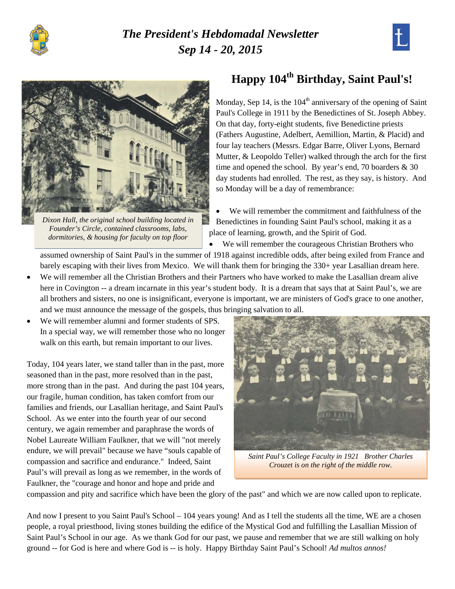

## *The President's Hebdomadal Newsletter Sep 14 - 20, 2015*





*Dixon Hall, the original school building located in Founder's Circle, contained classrooms, labs, dormitories, & housing for faculty on top floor*

# **Happy 104th Birthday, Saint Paul's!**

Monday, Sep 14, is the  $104<sup>th</sup>$  anniversary of the opening of Saint Paul's College in 1911 by the Benedictines of St. Joseph Abbey. On that day, forty-eight students, five Benedictine priests (Fathers Augustine, Adelbert, Aemillion, Martin, & Placid) and four lay teachers (Messrs. Edgar Barre, Oliver Lyons, Bernard Mutter, & Leopoldo Teller) walked through the arch for the first time and opened the school. By year's end, 70 boarders & 30 day students had enrolled. The rest, as they say, is history. And so Monday will be a day of remembrance:

We will remember the commitment and faithfulness of the Benedictines in founding Saint Paul's school, making it as a place of learning, growth, and the Spirit of God.

• We will remember the courageous Christian Brothers who

assumed ownership of Saint Paul's in the summer of 1918 against incredible odds, after being exiled from France and barely escaping with their lives from Mexico. We will thank them for bringing the 330+ year Lasallian dream here.

- We will remember all the Christian Brothers and their Partners who have worked to make the Lasallian dream alive here in Covington -- a dream incarnate in this year's student body. It is a dream that says that at Saint Paul's, we are all brothers and sisters, no one is insignificant, everyone is important, we are ministers of God's grace to one another, and we must announce the message of the gospels, thus bringing salvation to all.
- We will remember alumni and former students of SPS. In a special way, we will remember those who no longer walk on this earth, but remain important to our lives.

Today, 104 years later, we stand taller than in the past, more seasoned than in the past, more resolved than in the past, more strong than in the past. And during the past 104 years, our fragile, human condition, has taken comfort from our families and friends, our Lasallian heritage, and Saint Paul's School. As we enter into the fourth year of our second century, we again remember and paraphrase the words of Nobel Laureate William Faulkner, that we will "not merely endure, we will prevail" because we have "souls capable of compassion and sacrifice and endurance." Indeed, Saint Paul's will prevail as long as we remember, in the words of Faulkner, the "courage and honor and hope and pride and



*Saint Paul's College Faculty in 1921 Brother Charles Crouzet is on the right of the middle row.*

compassion and pity and sacrifice which have been the glory of the past" and which we are now called upon to replicate.

And now I present to you Saint Paul's School – 104 years young! And as I tell the students all the time, WE are a chosen people, a royal priesthood, living stones building the edifice of the Mystical God and fulfilling the Lasallian Mission of Saint Paul's School in our age. As we thank God for our past, we pause and remember that we are still walking on holy ground -- for God is here and where God is -- is holy. Happy Birthday Saint Paul's School! *Ad multos annos!*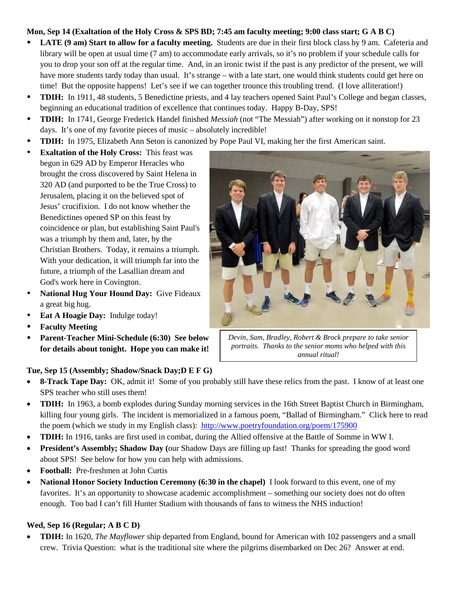#### **Mon, Sep 14 (Exaltation of the Holy Cross & SPS BD; 7:45 am faculty meeting; 9:00 class start; G A B C)**

- **LATE (9 am) Start to allow for a faculty meeting.** Students are due in their first block class by 9 am. Cafeteria and library will be open at usual time (7 am) to accommodate early arrivals, so it's no problem if your schedule calls for you to drop your son off at the regular time. And, in an ironic twist if the past is any predictor of the present, we will have more students tardy today than usual. It's strange – with a late start, one would think students could get here on time! But the opposite happens! Let's see if we can together trounce this troubling trend. (I love alliteration!)
- **TDIH:** In 1911, 48 students, 5 Benedictine priests, and 4 lay teachers opened Saint Paul's College and began classes, beginning an educational tradition of excellence that continues today. Happy B-Day, SPS!
- **TDIH:** In 1741, George Frederick Handel finished *Messiah* (not "The Messiah") after working on it nonstop for 23 days. It's one of my favorite pieces of music – absolutely incredible!
- **TDIH:** In 1975, Elizabeth Ann Seton is canonized by Pope Paul VI, making her the first American saint.
- **Exaltation of the Holy Cross:** This feast was begun in 629 AD by Emperor Heracles who brought the cross discovered by Saint Helena in 320 AD (and purported to be the True Cross) to Jerusalem, placing it on the believed spot of Jesus' crucifixion. I do not know whether the Benedictines opened SP on this feast by coincidence or plan, but establishing Saint Paul's was a triumph by them and, later, by the Christian Brothers. Today, it remains a triumph. With your dedication, it will triumph far into the future, a triumph of the Lasallian dream and God's work here in Covington.
- **National Hug Your Hound Day:** Give Fideaux a great big hug.
- **Eat A Hoagie Day:** Indulge today!
- **Faculty Meeting**
- **Parent-Teacher Mini-Schedule (6:30) See below for details about tonight. Hope you can make it!**



*Devin, Sam, Bradley, Robert & Brock prepare to take senior portraits. Thanks to the senior moms who helped with this annual ritual!*

### **Tue, Sep 15 (Assembly; Shadow/Snack Day;D E F G)**

- **8-Track Tape Day:** OK, admit it! Some of you probably still have these relics from the past. I know of at least one SPS teacher who still uses them!
- **TDIH:** In 1963, a bomb explodes during Sunday morning services in the 16th Street Baptist Church in Birmingham, killing four young girls. The incident is memorialized in a famous poem, "Ballad of Birmingham." Click here to read the poem (which we study in my English class): <http://www.poetryfoundation.org/poem/175900>
- **TDIH:** In 1916, tanks are first used in combat, during the Allied offensive at the Battle of Somme in WW I.
- **President's Assembly; Shadow Day (**our Shadow Days are filling up fast! Thanks for spreading the good word about SPS! See below for how you can help with admissions.
- **Football:** Pre-freshmen at John Curtis
- **National Honor Society Induction Ceremony (6:30 in the chapel)** I look forward to this event, one of my favorites. It's an opportunity to showcase academic accomplishment – something our society does not do often enough. Too bad I can't fill Hunter Stadium with thousands of fans to witness the NHS induction!

## **Wed, Sep 16 (Regular; A B C D)**

• **TDIH:** In 1620, *The Mayflower* ship departed from England, bound for American with 102 passengers and a small crew. Trivia Question: what is the traditional site where the pilgrims disembarked on Dec 26? Answer at end.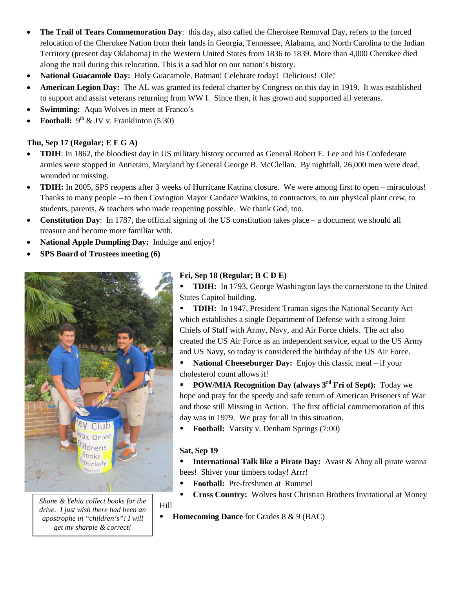- **The Trail of Tears Commemoration Day**: this day, also called the Cherokee Removal Day, refers to the forced relocation of the Cherokee Nation from their lands in Georgia, Tennessee, Alabama, and North Carolina to the Indian Territory (present day Oklahoma) in the Western United States from 1836 to 1839. More than 4,000 Cherokee died along the trail during this relocation. This is a sad blot on our nation's history.
- **National Guacamole Day:** Holy Guacamole, Batman! Celebrate today! Delicious! Ole!
- **American Legion Day:** The AL was granted its federal charter by Congress on this day in 1919. It was established to support and assist veterans returning from WW I. Since then, it has grown and supported all veterans.
- **Swimming:** Aqua Wolves in meet at Franco's
- **Football:**  $9^{\text{th}}$  & JV v. Franklinton (5:30)

### **Thu, Sep 17 (Regular; E F G A)**

- **TDIH**: In 1862, the bloodiest day in US military history occurred as General Robert E. Lee and his Confederate armies were stopped in Antietam, Maryland by General George B. McClellan. By nightfall, 26,000 men were dead, wounded or missing.
- **TDIH:** In 2005, SPS reopens after 3 weeks of Hurricane Katrina closure. We were among first to open miraculous! Thanks to many people – to then Covington Mayor Candace Watkins, to contractors, to our physical plant crew, to students, parents, & teachers who made reopening possible. We thank God, too.
- **Constitution Day**: In 1787, the official signing of the US constitution takes place a document we should all treasure and become more familiar with.
- National Apple Dumpling Day: Indulge and enjoy!
- **SPS Board of Trustees meeting (6)**



*Shane & Yehia collect books for the drive. I just wish there had been an apostrophe in "children's"! I will get my sharpie & correct!*

## **Fri, Sep 18 (Regular; B C D E)**

 **TDIH:** In 1793, George Washington lays the cornerstone to the United States Capitol building.

 **TDIH:** In 1947, President Truman signs the National Security Act which establishes a single Department of Defense with a strong Joint Chiefs of Staff with Army, Navy, and Air Force chiefs. The act also created the US Air Force as an independent service, equal to the US Army and US Navy, so today is considered the birthday of the US Air Force.

 **National Cheeseburger Day:** Enjoy this classic meal – if your cholesterol count allows it!

 **POW/MIA Recognition Day (always 3rd Fri of Sept):** Today we hope and pray for the speedy and safe return of American Prisoners of War and those still Missing in Action. The first official commemoration of this day was in 1979. We pray for all in this situation.

**Football:** Varsity v. Denham Springs (7:00)

## **Sat, Sep 19**

 **International Talk like a Pirate Day:** Avast & Ahoy all pirate wanna bees! Shiver your timbers today! Arrr!

- **Football:** Pre-freshmen at Rummel
- **Cross Country:** Wolves host Christian Brothers Invitational at Money Hill
- **Homecoming Dance** for Grades 8 & 9 (BAC)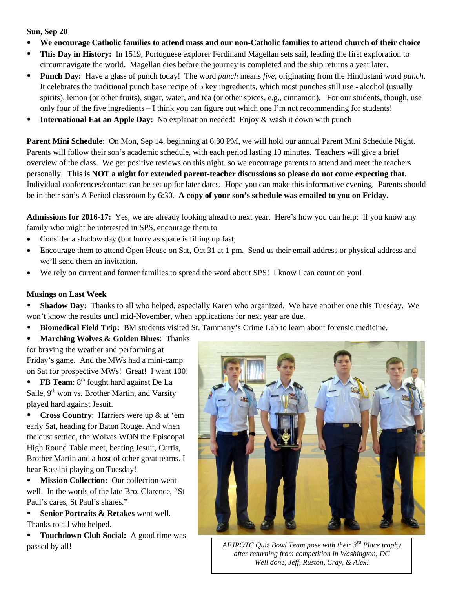#### **Sun, Sep 20**

- **We encourage Catholic families to attend mass and our non-Catholic families to attend church of their choice**
- **This Day in History:** In 1519, Portuguese explorer Ferdinand Magellan sets sail, leading the first exploration to circumnavigate the world. Magellan dies before the journey is completed and the ship returns a year later.
- **Punch Day:** Have a glass of punch today! The word *punch* means *five*, originating from the Hindustani word *panch*. It celebrates the traditional punch base recipe of 5 key ingredients, which most punches still use - alcohol (usually spirits), lemon (or other fruits), sugar, water, and tea (or other spices, e.g., cinnamon). For our students, though, use only four of the five ingredients – I think you can figure out which one I'm not recommending for students!
- **International Eat an Apple Day:** No explanation needed! Enjoy & wash it down with punch

**Parent Mini Schedule**: On Mon, Sep 14, beginning at 6:30 PM, we will hold our annual Parent Mini Schedule Night. Parents will follow their son's academic schedule, with each period lasting 10 minutes. Teachers will give a brief overview of the class. We get positive reviews on this night, so we encourage parents to attend and meet the teachers personally. **This is NOT a night for extended parent-teacher discussions so please do not come expecting that.** Individual conferences/contact can be set up for later dates. Hope you can make this informative evening. Parents should be in their son's A Period classroom by 6:30. **A copy of your son's schedule was emailed to you on Friday.**

**Admissions for 2016-17:** Yes, we are already looking ahead to next year. Here's how you can help: If you know any family who might be interested in SPS, encourage them to

- Consider a shadow day (but hurry as space is filling up fast;
- Encourage them to attend Open House on Sat, Oct 31 at 1 pm. Send us their email address or physical address and we'll send them an invitation.
- We rely on current and former families to spread the word about SPS! I know I can count on you!

#### **Musings on Last Week**

 **Shadow Day:** Thanks to all who helped, especially Karen who organized. We have another one this Tuesday. We won't know the results until mid-November, when applications for next year are due.

- **Biomedical Field Trip:** BM students visited St. Tammany's Crime Lab to learn about forensic medicine.
- **Marching Wolves & Golden Blues**: Thanks

for braving the weather and performing at Friday's game. And the MWs had a mini-camp on Sat for prospective MWs! Great! I want 100!

• **FB Team**: 8<sup>th</sup> fought hard against De La Salle, 9<sup>th</sup> won vs. Brother Martin, and Varsity played hard against Jesuit.

 **Cross Country**: Harriers were up & at 'em early Sat, heading for Baton Rouge. And when the dust settled, the Wolves WON the Episcopal High Round Table meet, beating Jesuit, Curtis, Brother Martin and a host of other great teams. I hear Rossini playing on Tuesday!

 **Mission Collection:** Our collection went well. In the words of the late Bro. Clarence, "St Paul's cares, St Paul's shares."

 **Senior Portraits & Retakes** went well. Thanks to all who helped.

**• Touchdown Club Social:** A good time was



passed by all! *AFJROTC Quiz Bowl Team pose with their 3rd Place trophy after returning from competition in Washington, DC Well done, Jeff, Ruston, Cray, & Alex!*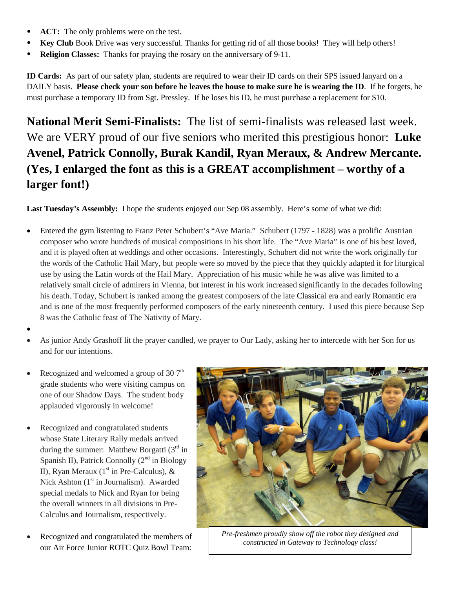- ACT: The only problems were on the test.
- **Key Club** Book Drive was very successful. Thanks for getting rid of all those books! They will help others!
- **Religion Classes:** Thanks for praying the rosary on the anniversary of 9-11.

**ID Cards:** As part of our safety plan, students are required to wear their ID cards on their SPS issued lanyard on a DAILY basis. **Please check your son before he leaves the house to make sure he is wearing the ID**. If he forgets, he must purchase a temporary ID from Sgt. Pressley. If he loses his ID, he must purchase a replacement for \$10.

**National Merit Semi-Finalists:** The list of semi-finalists was released last week. We are VERY proud of our five seniors who merited this prestigious honor: **Luke Avenel, Patrick Connolly, Burak Kandil, Ryan Meraux, & Andrew Mercante. (Yes, I enlarged the font as this is a GREAT accomplishment – worthy of a larger font!)**

**Last Tuesday's Assembly:** I hope the students enjoyed our Sep 08 assembly. Here's some of what we did:

- Entered the gym listening to Franz Peter Schubert's "Ave Maria." Schubert (1797 1828) was a prolific Austrian composer who wrote hundreds of musical compositions in his short life. The "Ave Maria" is one of his best loved, and it is played often at weddings and other occasions. Interestingly, Schubert did not write the work originally for the words of the Catholic Hail Mary, but people were so moved by the piece that they quickly adapted it for liturgical use by using the Latin words of the Hail Mary. Appreciation of his music while he was alive was limited to a relatively small circle of admirers in Vienna, but interest in his work increased significantly in the decades following his death. Today, Schubert is ranked among the greatest composers of the late Classical era and early Romantic era and is one of the most frequently performed composers of the early nineteenth century. I used this piece because Sep 8 was the Catholic feast of The Nativity of Mary.
- •
- As junior Andy Grashoff lit the prayer candled, we prayer to Our Lady, asking her to intercede with her Son for us and for our intentions.
- Recognized and welcomed a group of 30  $7<sup>th</sup>$ grade students who were visiting campus on one of our Shadow Days. The student body applauded vigorously in welcome!
- Recognized and congratulated students whose State Literary Rally medals arrived during the summer: Matthew Borgatti  $(3<sup>rd</sup> in$ Spanish II), Patrick Connolly  $(2<sup>nd</sup>$  in Biology II), Ryan Meraux ( $1<sup>st</sup>$  in Pre-Calculus), & Nick Ashton  $(1<sup>st</sup>$  in Journalism). Awarded special medals to Nick and Ryan for being the overall winners in all divisions in Pre-Calculus and Journalism, respectively.
- Recognized and congratulated the members of our Air Force Junior ROTC Quiz Bowl Team:



*Pre-freshmen proudly show off the robot they designed and constructed in Gateway to Technology class!*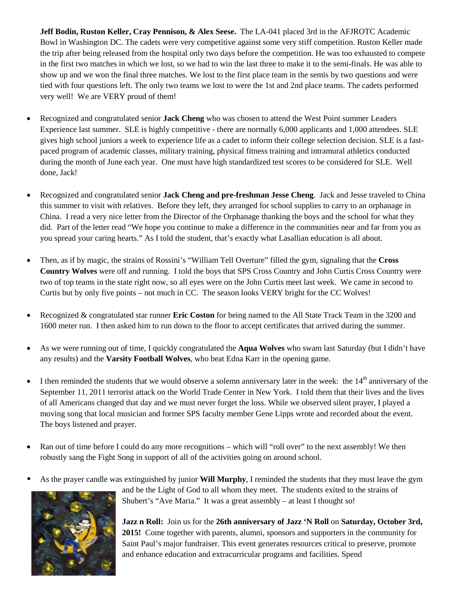**Jeff Bodin, Ruston Keller, Cray Pennison, & Alex Seese.** The LA-041 placed 3rd in the AFJROTC Academic Bowl in Washington DC. The cadets were very competitive against some very stiff competition. Ruston Keller made the trip after being released from the hospital only two days before the competition. He was too exhausted to compete in the first two matches in which we lost, so we had to win the last three to make it to the semi-finals. He was able to show up and we won the final three matches. We lost to the first place team in the semis by two questions and were tied with four questions left. The only two teams we lost to were the 1st and 2nd place teams. The cadets performed very well! We are VERY proud of them!

- Recognized and congratulated senior **Jack Cheng** who was chosen to attend the West Point summer Leaders Experience last summer. SLE is highly competitive - there are normally 6,000 applicants and 1,000 attendees. SLE gives high school juniors a week to experience life as a cadet to inform their college selection decision. SLE is a fastpaced program of academic classes, military training, physical fitness training and intramural athletics conducted during the month of June each year. One must have high standardized test scores to be considered for SLE. Well done, Jack!
- Recognized and congratulated senior **Jack Cheng and pre-freshman Jesse Cheng**. Jack and Jesse traveled to China this summer to visit with relatives. Before they left, they arranged for school supplies to carry to an orphanage in China. I read a very nice letter from the Director of the Orphanage thanking the boys and the school for what they did. Part of the letter read "We hope you continue to make a difference in the communities near and far from you as you spread your caring hearts." As I told the student, that's exactly what Lasallian education is all about.
- Then, as if by magic, the strains of Rossini's "William Tell Overture" filled the gym, signaling that the **Cross Country Wolves** were off and running. I told the boys that SPS Cross Country and John Curtis Cross Country were two of top teams in the state right now, so all eyes were on the John Curtis meet last week. We came in second to Curtis but by only five points – not much in CC. The season looks VERY bright for the CC Wolves!
- Recognized & congratulated star runner **Eric Coston** for being named to the All State Track Team in the 3200 and 1600 meter run. I then asked him to run down to the floor to accept certificates that arrived during the summer.
- As we were running out of time, I quickly congratulated the **Aqua Wolves** who swam last Saturday (but I didn't have any results) and the **Varsity Football Wolves**, who beat Edna Karr in the opening game.
- $\bullet$  I then reminded the students that we would observe a solemn anniversary later in the week: the  $14<sup>th</sup>$  anniversary of the September 11, 2011 terrorist attack on the World Trade Center in New York. I told them that their lives and the lives of all Americans changed that day and we must never forget the loss. While we observed silent prayer, I played a moving song that local musician and former SPS faculty member Gene Lipps wrote and recorded about the event. The boys listened and prayer.
- Ran out of time before I could do any more recognitions which will "roll over" to the next assembly! We then robustly sang the Fight Song in support of all of the activities going on around school.
- As the prayer candle was extinguished by junior **Will Murphy**, I reminded the students that they must leave the gym



and be the Light of God to all whom they meet.The students exited to the strains of Shubert's "Ave Maria." It was a great assembly – at least I thought so!

**Jazz n Roll:** Join us for the **26th anniversary of Jazz 'N Roll** on **Saturday, October 3rd, 2015!** Come together with parents, alumni, sponsors and supporters in the community for Saint Paul's major fundraiser. This event generates resources critical to preserve, promote and enhance education and extracurricular programs and facilities. Spend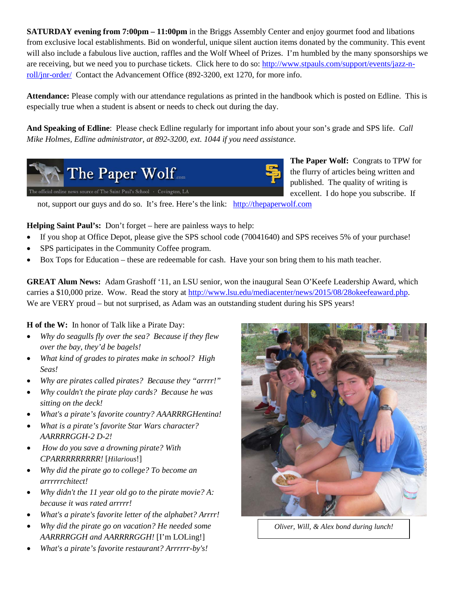**SATURDAY evening from 7:00pm – 11:00pm** in the Briggs Assembly Center and enjoy gourmet food and libations from exclusive local establishments. Bid on wonderful, unique silent auction items donated by the community. This event will also include a fabulous live auction, raffles and the Wolf Wheel of Prizes. I'm humbled by the many sponsorships we are receiving, but we need you to purchase tickets. Click here to do so: [http://www.stpauls.com/support/events/jazz-n](http://www.stpauls.com/support/events/jazz-n-roll/jnr-order/)[roll/jnr-order/](http://www.stpauls.com/support/events/jazz-n-roll/jnr-order/)Contact the Advancement Office (892-3200, ext 1270, for more info.

**Attendance:** Please comply with our attendance regulations as printed in the handbook which is posted on Edline. This is especially true when a student is absent or needs to check out during the day.

**And Speaking of Edline**: Please check Edline regularly for important info about your son's grade and SPS life. *Call Mike Holmes, Edline administrator, at 892-3200, ext. 1044 if you need assistance.*



**The Paper Wolf:** Congrats to TPW for the flurry of articles being written and published. The quality of writing is excellent. I do hope you subscribe. If

not, support our guys and do so. It's free. Here's the link: [http://thepaperwolf.com](http://thepaperwolf.com/)

**Helping Saint Paul's:** Don't forget – here are painless ways to help:

- If you shop at Office Depot, please give the SPS school code (70041640) and SPS receives 5% of your purchase!
- SPS participates in the Community Coffee program.
- Box Tops for Education these are redeemable for cash. Have your son bring them to his math teacher.

**GREAT Alum News:** Adam Grashoff '11, an LSU senior, won the inaugural Sean O'Keefe Leadership Award, which carries a \$10,000 prize. Wow. Read the story at [http://www.lsu.edu/mediacenter/news/2015/08/28okeefeaward.php.](http://www.lsu.edu/mediacenter/news/2015/08/28okeefeaward.php) We are VERY proud – but not surprised, as Adam was an outstanding student during his SPS years!

**H of the W:** In honor of Talk like a Pirate Day:

- *Why do seagulls fly over the sea? Because if they flew over the bay, they'd be bagels!*
- *What kind of grades to pirates make in school? High Seas!*
- *Why are pirates called pirates? Because they "arrrr!"*
- *Why couldn't the pirate play cards? Because he was sitting on the deck!*
- *What's a pirate's favorite country? AAARRRGHentina!*
- *What is a pirate's favorite Star Wars character? AARRRRGGH-2 D-2!*
- *How do you save a drowning pirate? With CPARRRRRRRRR!* [*Hilarious*!]
- *Why did the pirate go to college? To become an arrrrrrchitect!*
- *Why didn't the 11 year old go to the pirate movie? A: because it was rated arrrrr!*
- *What's a pirate's favorite letter of the alphabet? Arrrr!*
- *Why did the pirate go on vacation? He needed some AARRRRGGH and AARRRRGGH!* [I'm LOLing!]
- *What's a pirate's favorite restaurant? Arrrrrr-by's!*



*Oliver, Will, & Alex bond during lunch!*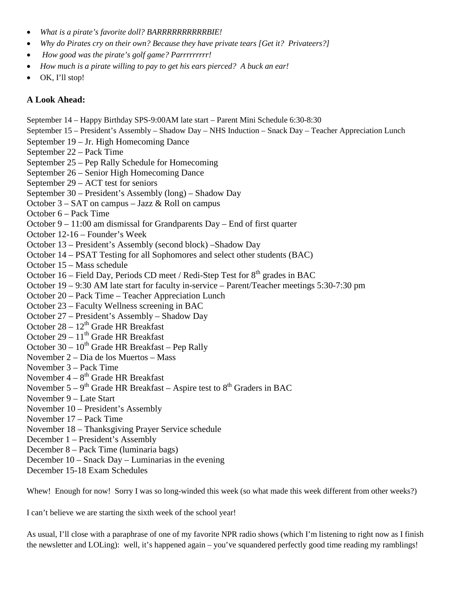- *What is a pirate's favorite doll? BARRRRRRRRRRBIE!*
- *Why do Pirates cry on their own? Because they have private tears [Get it? Privateers?]*
- *How good was the pirate's golf game? Parrrrrrrrr!*
- *How much is a pirate willing to pay to get his ears pierced? A buck an ear!*
- OK, I'll stop!

### **A Look Ahead:**

September 14 – Happy Birthday SPS-9:00AM late start – Parent Mini Schedule 6:30-8:30

September 15 – President's Assembly – Shadow Day – NHS Induction – Snack Day – Teacher Appreciation Lunch

- September 19 Jr. High Homecoming Dance
- September 22 Pack Time
- September 25 Pep Rally Schedule for Homecoming
- September 26 Senior High Homecoming Dance
- September 29 ACT test for seniors
- September 30 President's Assembly (long) Shadow Day
- October 3 SAT on campus Jazz & Roll on campus
- October 6 Pack Time
- October 9 11:00 am dismissal for Grandparents Day End of first quarter
- October 12-16 Founder's Week
- October 13 President's Assembly (second block) –Shadow Day
- October 14 PSAT Testing for all Sophomores and select other students (BAC)
- October 15 Mass schedule
- October 16 Field Day, Periods CD meet / Redi-Step Test for  $8<sup>th</sup>$  grades in BAC
- October 19 9:30 AM late start for faculty in-service Parent/Teacher meetings 5:30-7:30 pm
- October 20 Pack Time Teacher Appreciation Lunch
- October 23 Faculty Wellness screening in BAC
- October 27 President's Assembly Shadow Day
- October  $28 12^{th}$  Grade HR Breakfast
- October 29  $11<sup>th</sup>$  Grade HR Breakfast
- October 30  $10^{th}$  Grade HR Breakfast Pep Rally
- November 2 Dia de los Muertos Mass
- November 3 Pack Time
- November  $4 8$ <sup>th</sup> Grade HR Breakfast
- November  $5 9<sup>th</sup>$  Grade HR Breakfast Aspire test to  $8<sup>th</sup>$  Graders in BAC
- November 9 Late Start
- November 10 President's Assembly
- November 17 Pack Time
- November 18 Thanksgiving Prayer Service schedule
- December 1 President's Assembly
- December 8 Pack Time (luminaria bags)
- December 10 Snack Day Luminarias in the evening
- December 15-18 Exam Schedules

Whew! Enough for now! Sorry I was so long-winded this week (so what made this week different from other weeks?)

I can't believe we are starting the sixth week of the school year!

As usual, I'll close with a paraphrase of one of my favorite NPR radio shows (which I'm listening to right now as I finish the newsletter and LOLing): well, it's happened again – you've squandered perfectly good time reading my ramblings!